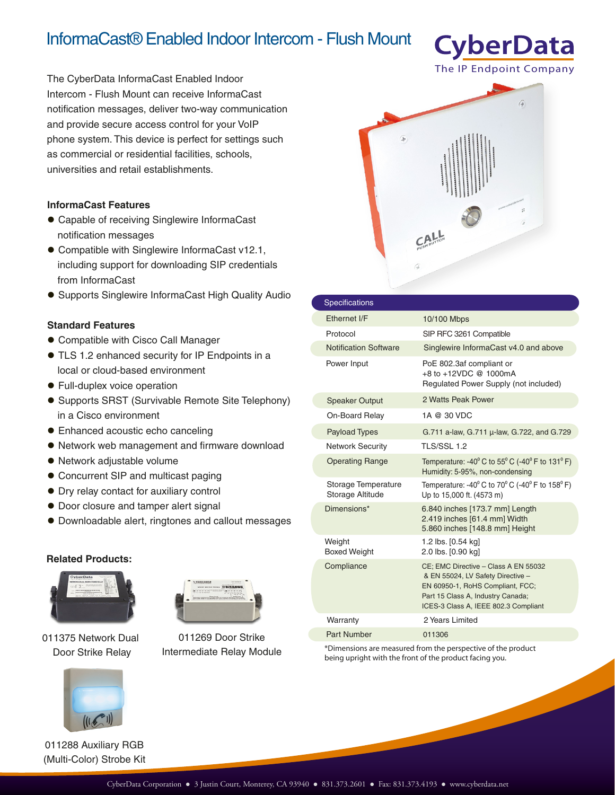# InformaCast® Enabled Indoor Intercom - Flush Mount

The CyberData InformaCast Enabled Indoor Intercom - Flush Mount can receive InformaCast notification messages, deliver two-way communication and provide secure access control for your VoIP phone system. This device is perfect for settings such as commercial or residential facilities, schools, universities and retail establishments.

### **InformaCast Features**

- Capable of receiving Singlewire InformaCast notification messages
- Compatible with Singlewire InformaCast v12.1, including support for downloading SIP credentials from InformaCast
- **Supports Singlewire InformaCast High Quality Audio**

### **Standard Features**

- Compatible with Cisco Call Manager
- TLS 1.2 enhanced security for IP Endpoints in a local or cloud-based environment
- Full-duplex voice operation
- Supports SRST (Survivable Remote Site Telephony) in a Cisco environment
- Enhanced acoustic echo canceling
- Network web management and firmware download
- Network adjustable volume
- Concurrent SIP and multicast paging
- Dry relay contact for auxiliary control
- $\bullet$  Door closure and tamper alert signal
- Downloadable alert, ringtones and callout messages

#### **Related Products:**



011375 Network Dual Door Strike Relay



011269 Door Strike Intermediate Relay Module



**CyberData** 

| <b>Specifications</b>                   |                                                                                                                                                                                            |
|-----------------------------------------|--------------------------------------------------------------------------------------------------------------------------------------------------------------------------------------------|
| Ethernet I/F                            | 10/100 Mbps                                                                                                                                                                                |
| Protocol                                | SIP RFC 3261 Compatible                                                                                                                                                                    |
| <b>Notification Software</b>            | Singlewire InformaCast v4.0 and above                                                                                                                                                      |
| Power Input                             | PoE 802.3af compliant or<br>+8 to +12VDC @ 1000mA<br>Regulated Power Supply (not included)                                                                                                 |
| <b>Speaker Output</b>                   | 2 Watts Peak Power                                                                                                                                                                         |
| On-Board Relay                          | 1A @ 30 VDC                                                                                                                                                                                |
| <b>Payload Types</b>                    | G.711 a-law, G.711 µ-law, G.722, and G.729                                                                                                                                                 |
| <b>Network Security</b>                 | <b>TLS/SSL 1.2</b>                                                                                                                                                                         |
| <b>Operating Range</b>                  | Temperature: -40 $^{\circ}$ C to 55 $^{\circ}$ C (-40 $^{\circ}$ F to 131 $^{\circ}$ F)<br>Humidity: 5-95%, non-condensing                                                                 |
| Storage Temperature<br>Storage Altitude | Temperature: -40 $^{\circ}$ C to 70 $^{\circ}$ C (-40 $^{\circ}$ F to 158 $^{\circ}$ F)<br>Up to 15,000 ft. (4573 m)                                                                       |
| Dimensions*                             | 6.840 inches [173.7 mm] Length<br>2.419 inches [61.4 mm] Width<br>5.860 inches [148.8 mm] Height                                                                                           |
| Weight<br><b>Boxed Weight</b>           | 1.2 lbs. [0.54 kg]<br>2.0 lbs. [0.90 kg]                                                                                                                                                   |
| Compliance                              | CE; EMC Directive - Class A EN 55032<br>& EN 55024, LV Safety Directive -<br>EN 60950-1, RoHS Compliant, FCC;<br>Part 15 Class A, Industry Canada;<br>ICES-3 Class A, IEEE 802.3 Compliant |
| Warranty                                | 2 Years Limited                                                                                                                                                                            |
| Part Number                             | 011306                                                                                                                                                                                     |

\*Dimensions are measured from the perspective of the product being upright with the front of the product facing you.



(Multi-Color) Strobe Kit